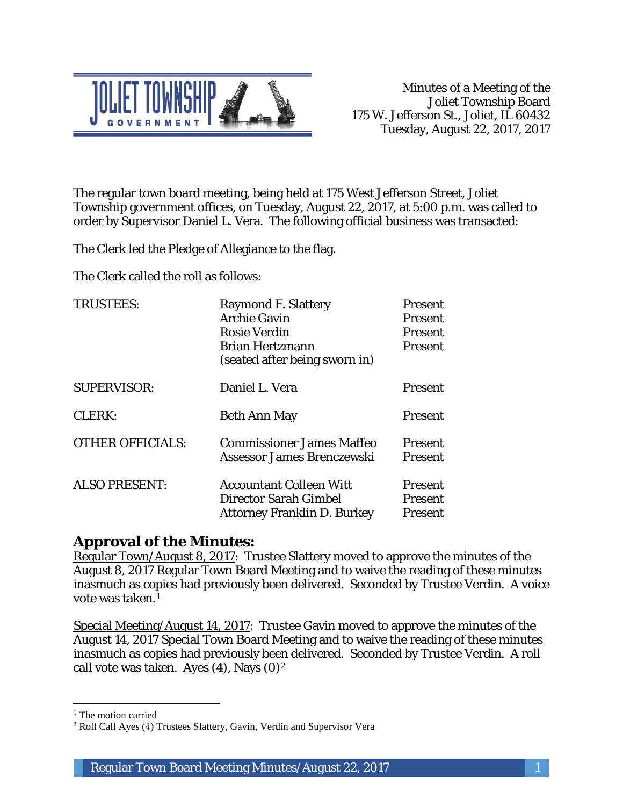

The regular town board meeting, being held at 175 West Jefferson Street, Joliet Township government offices, on Tuesday, August 22, 2017, at 5:00 p.m. was called to order by Supervisor Daniel L. Vera. The following official business was transacted:

The Clerk led the Pledge of Allegiance to the flag.

The Clerk called the roll as follows:

| <b>TRUSTEES:</b>        | <b>Raymond F. Slattery</b>         | <b>Present</b> |
|-------------------------|------------------------------------|----------------|
|                         | <b>Archie Gavin</b>                | <b>Present</b> |
|                         | <b>Rosie Verdin</b>                | Present        |
|                         | <b>Brian Hertzmann</b>             | <b>Present</b> |
|                         | (seated after being sworn in)      |                |
| <b>SUPERVISOR:</b>      | Daniel L. Vera                     | Present        |
| CLERK:                  | <b>Beth Ann May</b>                | <b>Present</b> |
| <b>OTHER OFFICIALS:</b> | <b>Commissioner James Maffeo</b>   | <b>Present</b> |
|                         | Assessor James Brenczewski         | <b>Present</b> |
| <b>ALSO PRESENT:</b>    | <b>Accountant Colleen Witt</b>     | <b>Present</b> |
|                         | <b>Director Sarah Gimbel</b>       | <b>Present</b> |
|                         | <b>Attorney Franklin D. Burkey</b> | <b>Present</b> |

### **Approval of the Minutes:**

Regular Town/August 8, 2017: Trustee Slattery moved to approve the minutes of the August 8, 2017 Regular Town Board Meeting and to waive the reading of these minutes inasmuch as copies had previously been delivered. Seconded by Trustee Verdin. A voice vote was taken.1

Special Meeting/August 14, 2017: Trustee Gavin moved to approve the minutes of the August 14, 2017 Special Town Board Meeting and to waive the reading of these minutes inasmuch as copies had previously been delivered. Seconded by Trustee Verdin. A roll call vote was taken. Ayes  $(4)$ , Nays  $(0)<sup>2</sup>$ 

I

<sup>&</sup>lt;sup>1</sup> The motion carried

<sup>2</sup> Roll Call Ayes (4) Trustees Slattery, Gavin, Verdin and Supervisor Vera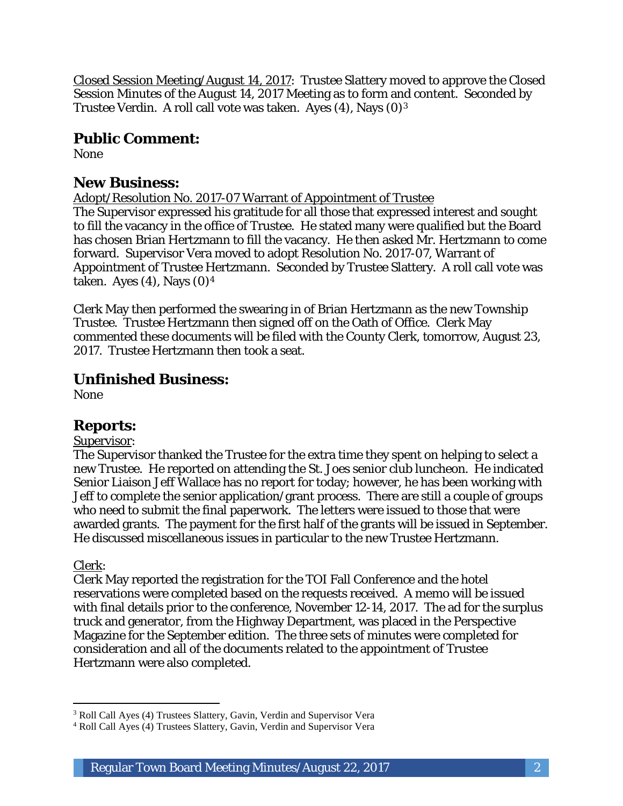Closed Session Meeting/August 14, 2017: Trustee Slattery moved to approve the Closed Session Minutes of the August 14, 2017 Meeting as to form and content. Seconded by Trustee Verdin. A roll call vote was taken. Ayes (4), Nays (0)3

# **Public Comment:**

None

# **New Business:**

Adopt/Resolution No. 2017-07 Warrant of Appointment of Trustee The Supervisor expressed his gratitude for all those that expressed interest and sought to fill the vacancy in the office of Trustee. He stated many were qualified but the Board has chosen Brian Hertzmann to fill the vacancy. He then asked Mr. Hertzmann to come forward. Supervisor Vera moved to adopt Resolution No. 2017-07, Warrant of Appointment of Trustee Hertzmann. Seconded by Trustee Slattery. A roll call vote was taken. Ayes  $(4)$ , Nays  $(0)<sup>4</sup>$ 

Clerk May then performed the swearing in of Brian Hertzmann as the new Township Trustee. Trustee Hertzmann then signed off on the Oath of Office. Clerk May commented these documents will be filed with the County Clerk, tomorrow, August 23, 2017. Trustee Hertzmann then took a seat.

# **Unfinished Business:**

None

### **Reports:**

### Supervisor:

The Supervisor thanked the Trustee for the extra time they spent on helping to select a new Trustee. He reported on attending the St. Joes senior club luncheon. He indicated Senior Liaison Jeff Wallace has no report for today; however, he has been working with Jeff to complete the senior application/grant process. There are still a couple of groups who need to submit the final paperwork. The letters were issued to those that were awarded grants. The payment for the first half of the grants will be issued in September. He discussed miscellaneous issues in particular to the new Trustee Hertzmann.

### Clerk:

I

Clerk May reported the registration for the TOI Fall Conference and the hotel reservations were completed based on the requests received. A memo will be issued with final details prior to the conference, November 12-14, 2017. The ad for the surplus truck and generator, from the Highway Department, was placed in the Perspective Magazine for the September edition. The three sets of minutes were completed for consideration and all of the documents related to the appointment of Trustee Hertzmann were also completed.

<sup>&</sup>lt;sup>3</sup> Roll Call Ayes (4) Trustees Slattery, Gavin, Verdin and Supervisor Vera

<sup>4</sup> Roll Call Ayes (4) Trustees Slattery, Gavin, Verdin and Supervisor Vera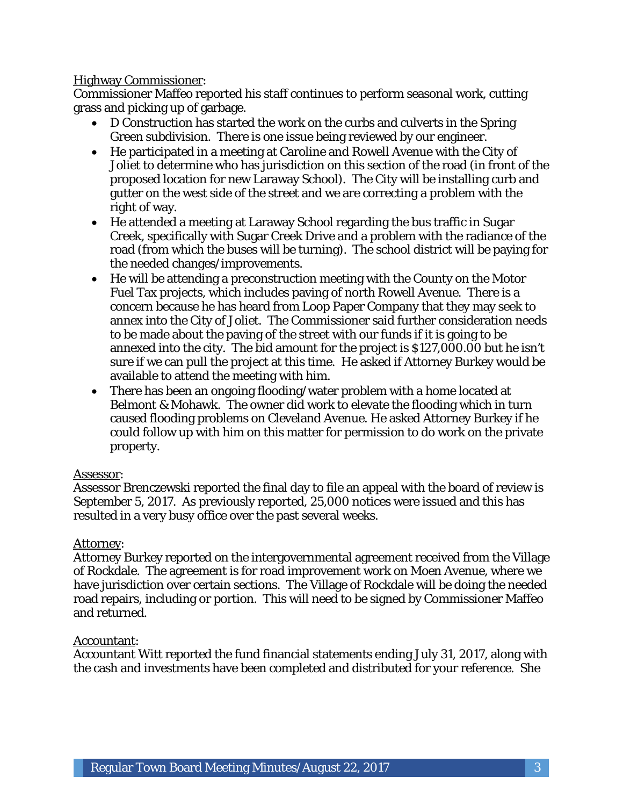#### Highway Commissioner:

Commissioner Maffeo reported his staff continues to perform seasonal work, cutting grass and picking up of garbage.

- D Construction has started the work on the curbs and culverts in the Spring Green subdivision. There is one issue being reviewed by our engineer.
- He participated in a meeting at Caroline and Rowell Avenue with the City of Joliet to determine who has jurisdiction on this section of the road (in front of the proposed location for new Laraway School). The City will be installing curb and gutter on the west side of the street and we are correcting a problem with the right of way.
- He attended a meeting at Laraway School regarding the bus traffic in Sugar Creek, specifically with Sugar Creek Drive and a problem with the radiance of the road (from which the buses will be turning). The school district will be paying for the needed changes/improvements.
- He will be attending a preconstruction meeting with the County on the Motor Fuel Tax projects, which includes paving of north Rowell Avenue. There is a concern because he has heard from Loop Paper Company that they may seek to annex into the City of Joliet. The Commissioner said further consideration needs to be made about the paving of the street with our funds if it is going to be annexed into the city. The bid amount for the project is \$127,000.00 but he isn't sure if we can pull the project at this time. He asked if Attorney Burkey would be available to attend the meeting with him.
- There has been an ongoing flooding/water problem with a home located at Belmont & Mohawk. The owner did work to elevate the flooding which in turn caused flooding problems on Cleveland Avenue. He asked Attorney Burkey if he could follow up with him on this matter for permission to do work on the private property.

### Assessor:

Assessor Brenczewski reported the final day to file an appeal with the board of review is September 5, 2017. As previously reported, 25,000 notices were issued and this has resulted in a very busy office over the past several weeks.

### Attorney:

Attorney Burkey reported on the intergovernmental agreement received from the Village of Rockdale. The agreement is for road improvement work on Moen Avenue, where we have jurisdiction over certain sections. The Village of Rockdale will be doing the needed road repairs, including or portion. This will need to be signed by Commissioner Maffeo and returned.

#### Accountant:

Accountant Witt reported the fund financial statements ending July 31, 2017, along with the cash and investments have been completed and distributed for your reference. She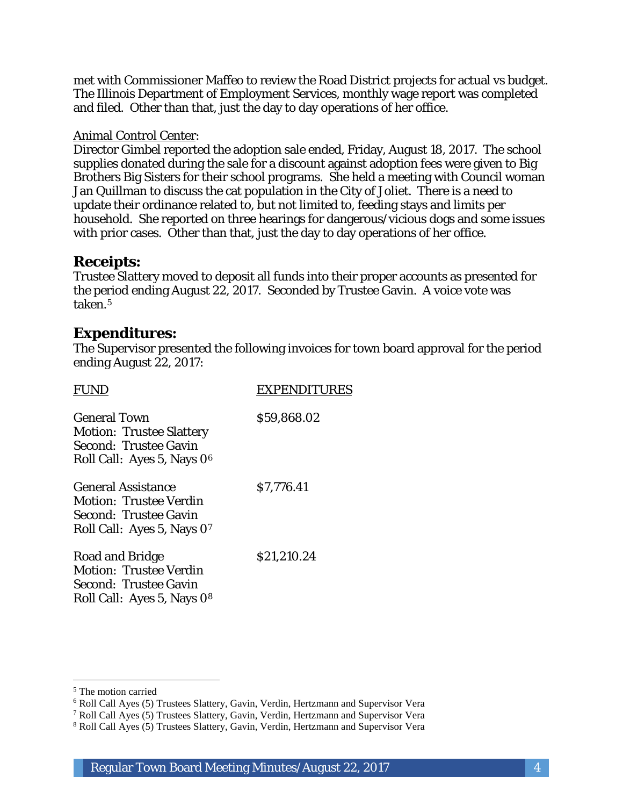met with Commissioner Maffeo to review the Road District projects for actual vs budget. The Illinois Department of Employment Services, monthly wage report was completed and filed. Other than that, just the day to day operations of her office.

#### Animal Control Center:

Director Gimbel reported the adoption sale ended, Friday, August 18, 2017. The school supplies donated during the sale for a discount against adoption fees were given to Big Brothers Big Sisters for their school programs. She held a meeting with Council woman Jan Quillman to discuss the cat population in the City of Joliet. There is a need to update their ordinance related to, but not limited to, feeding stays and limits per household. She reported on three hearings for dangerous/vicious dogs and some issues with prior cases. Other than that, just the day to day operations of her office.

# **Receipts:**

Trustee Slattery moved to deposit all funds into their proper accounts as presented for the period ending August 22, 2017. Seconded by Trustee Gavin. A voice vote was taken.5

### **Expenditures:**

The Supervisor presented the following invoices for town board approval for the period ending August 22, 2017:

| <b>EXPENDITURES</b> |
|---------------------|
| \$59,868.02         |
| \$7,776.41          |
| \$21,210.24         |
|                     |

 $\overline{a}$ <sup>5</sup> The motion carried

<sup>6</sup> Roll Call Ayes (5) Trustees Slattery, Gavin, Verdin, Hertzmann and Supervisor Vera

<sup>7</sup> Roll Call Ayes (5) Trustees Slattery, Gavin, Verdin, Hertzmann and Supervisor Vera

<sup>8</sup> Roll Call Ayes (5) Trustees Slattery, Gavin, Verdin, Hertzmann and Supervisor Vera